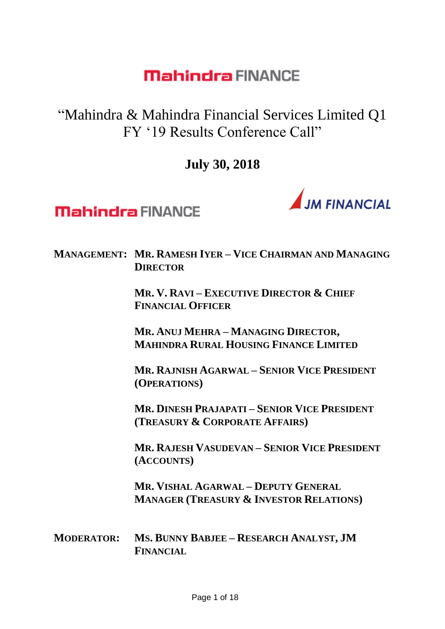"Mahindra & Mahindra Financial Services Limited Q1 FY '19 Results Conference Call"

**July 30, 2018**



**Mahindra FINANCE** 

#### **MANAGEMENT: MR. RAMESH IYER – VICE CHAIRMAN AND MANAGING DIRECTOR**

**MR. V. RAVI – EXECUTIVE DIRECTOR & CHIEF FINANCIAL OFFICER**

**MR. ANUJ MEHRA – MANAGING DIRECTOR, MAHINDRA RURAL HOUSING FINANCE LIMITED**

**MR. RAJNISH AGARWAL – SENIOR VICE PRESIDENT (OPERATIONS)**

**MR. DINESH PRAJAPATI – SENIOR VICE PRESIDENT (TREASURY & CORPORATE AFFAIRS)**

**MR. RAJESH VASUDEVAN – SENIOR VICE PRESIDENT (ACCOUNTS)**

**MR. VISHAL AGARWAL – DEPUTY GENERAL MANAGER (TREASURY & INVESTOR RELATIONS)**

**MODERATOR: MS. BUNNY BABJEE – RESEARCH ANALYST, JM FINANCIAL**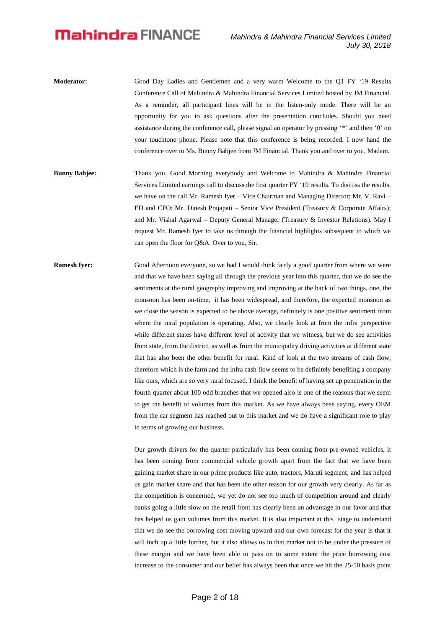- **Moderator:** Good Day Ladies and Gentlemen and a very warm Welcome to the Q1 FY '19 Results Conference Call of Mahindra & Mahindra Financial Services Limited hosted by JM Financial. As a reminder, all participant lines will be in the listen-only mode. There will be an opportunity for you to ask questions after the presentation concludes. Should you need assistance during the conference call, please signal an operator by pressing '\*' and then '0' on your touchtone phone. Please note that this conference is being recorded. I now hand the conference over to Ms. Bunny Babjee from JM Financial. Thank you and over to you, Madam.
- **Bunny Babjee:** Thank you. Good Morning everybody and Welcome to Mahindra & Mahindra Financial Services Limited earnings call to discuss the first quarter FY '19 results. To discuss the results, we have on the call Mr. Ramesh Iyer – Vice Chairman and Managing Director; Mr. V. Ravi – ED and CFO; Mr. Dinesh Prajapati – Senior Vice President (Treasury & Corporate Affairs); and Mr. Vishal Agarwal – Deputy General Manager (Treasury & Investor Relations). May I request Mr. Ramesh Iyer to take us through the financial highlights subsequent to which we can open the floor for Q&A. Over to you, Sir.
- **Ramesh Iyer:** Good Afternoon everyone, so we had I would think fairly a good quarter from where we were and that we have been saying all through the previous year into this quarter, that we do see the sentiments at the rural geography improving and improving at the back of two things, one, the monsoon has been on-time, it has been widespread, and therefore, the expected monsoon as we close the season is expected to be above average, definitely is one positive sentiment from where the rural population is operating. Also, we clearly look at from the infra perspective while different states have different level of activity that we witness, but we do see activities from state, from the district, as well as from the municipality driving activities at different state that has also been the other benefit for rural. Kind of look at the two streams of cash flow, therefore which is the farm and the infra cash flow seems to be definitely benefiting a company like ours, which are so very rural focused. I think the benefit of having set up penetration in the fourth quarter about 100 odd branches that we opened also is one of the reasons that we seem to get the benefit of volumes from this market. As we have always been saying, every OEM from the car segment has reached out to this market and we do have a significant role to play in terms of growing our business.

Our growth drivers for the quarter particularly has been coming from pre-owned vehicles, it has been coming from commercial vehicle growth apart from the fact that we have been gaining market share in our prime products like auto, tractors, Maruti segment, and has helped us gain market share and that has been the other reason for our growth very clearly. As far as the competition is concerned, we yet do not see too much of competition around and clearly banks going a little slow on the retail front has clearly been an advantage in our favor and that has helped us gain volumes from this market. It is also important at this stage to understand that we do see the borrowing cost moving upward and our own forecast for the year is that it will inch up a little further, but it also allows us in that market not to be under the pressure of these margin and we have been able to pass on to some extent the price borrowing cost increase to the consumer and our belief has always been that once we hit the 25-50 basis point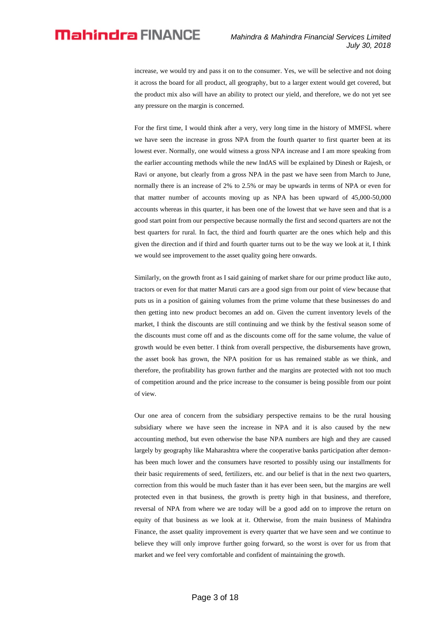increase, we would try and pass it on to the consumer. Yes, we will be selective and not doing it across the board for all product, all geography, but to a larger extent would get covered, but the product mix also will have an ability to protect our yield, and therefore, we do not yet see any pressure on the margin is concerned.

For the first time, I would think after a very, very long time in the history of MMFSL where we have seen the increase in gross NPA from the fourth quarter to first quarter been at its lowest ever. Normally, one would witness a gross NPA increase and I am more speaking from the earlier accounting methods while the new IndAS will be explained by Dinesh or Rajesh, or Ravi or anyone, but clearly from a gross NPA in the past we have seen from March to June, normally there is an increase of 2% to 2.5% or may be upwards in terms of NPA or even for that matter number of accounts moving up as NPA has been upward of 45,000-50,000 accounts whereas in this quarter, it has been one of the lowest that we have seen and that is a good start point from our perspective because normally the first and second quarters are not the best quarters for rural. In fact, the third and fourth quarter are the ones which help and this given the direction and if third and fourth quarter turns out to be the way we look at it, I think we would see improvement to the asset quality going here onwards.

Similarly, on the growth front as I said gaining of market share for our prime product like auto, tractors or even for that matter Maruti cars are a good sign from our point of view because that puts us in a position of gaining volumes from the prime volume that these businesses do and then getting into new product becomes an add on. Given the current inventory levels of the market, I think the discounts are still continuing and we think by the festival season some of the discounts must come off and as the discounts come off for the same volume, the value of growth would be even better. I think from overall perspective, the disbursements have grown, the asset book has grown, the NPA position for us has remained stable as we think, and therefore, the profitability has grown further and the margins are protected with not too much of competition around and the price increase to the consumer is being possible from our point of view.

Our one area of concern from the subsidiary perspective remains to be the rural housing subsidiary where we have seen the increase in NPA and it is also caused by the new accounting method, but even otherwise the base NPA numbers are high and they are caused largely by geography like Maharashtra where the cooperative banks participation after demonhas been much lower and the consumers have resorted to possibly using our installments for their basic requirements of seed, fertilizers, etc. and our belief is that in the next two quarters, correction from this would be much faster than it has ever been seen, but the margins are well protected even in that business, the growth is pretty high in that business, and therefore, reversal of NPA from where we are today will be a good add on to improve the return on equity of that business as we look at it. Otherwise, from the main business of Mahindra Finance, the asset quality improvement is every quarter that we have seen and we continue to believe they will only improve further going forward, so the worst is over for us from that market and we feel very comfortable and confident of maintaining the growth.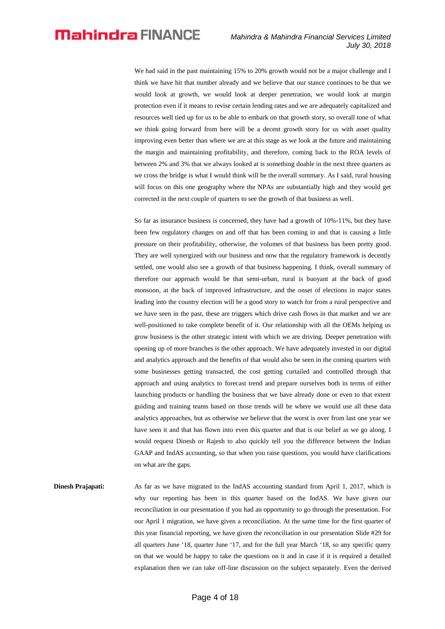We had said in the past maintaining 15% to 20% growth would not be a major challenge and I think we have hit that number already and we believe that our stance continues to be that we would look at growth, we would look at deeper penetration, we would look at margin protection even if it means to revise certain lending rates and we are adequately capitalized and resources well tied up for us to be able to embark on that growth story, so overall tone of what we think going forward from here will be a decent growth story for us with asset quality improving even better than where we are at this stage as we look at the future and maintaining the margin and maintaining profitability, and therefore, coming back to the ROA levels of between 2% and 3% that we always looked at is something doable in the next three quarters as we cross the bridge is what I would think will be the overall summary. As I said, rural housing will focus on this one geography where the NPAs are substantially high and they would get corrected in the next couple of quarters to see the growth of that business as well.

So far as insurance business is concerned, they have had a growth of 10%-11%, but they have been few regulatory changes on and off that has been coming in and that is causing a little pressure on their profitability, otherwise, the volumes of that business has been pretty good. They are well synergized with our business and now that the regulatory framework is decently settled, one would also see a growth of that business happening. I think, overall summary of therefore our approach would be that semi-urban, rural is buoyant at the back of good monsoon, at the back of improved infrastructure, and the onset of elections in major states leading into the country election will be a good story to watch for from a rural perspective and we have seen in the past, these are triggers which drive cash flows in that market and we are well-positioned to take complete benefit of it. Our relationship with all the OEMs helping us grow business is the other strategic intent with which we are driving. Deeper penetration with opening up of more branches is the other approach. We have adequately invested in our digital and analytics approach and the benefits of that would also be seen in the coming quarters with some businesses getting transacted, the cost getting curtailed and controlled through that approach and using analytics to forecast trend and prepare ourselves both in terms of either launching products or handling the business that we have already done or even to that extent guiding and training teams based on those trends will be where we would use all these data analytics approaches, but as otherwise we believe that the worst is over from last one year we have seen it and that has flown into even this quarter and that is our belief as we go along. I would request Dinesh or Rajesh to also quickly tell you the difference between the Indian GAAP and IndAS accounting, so that when you raise questions, you would have clarifications on what are the gaps.

**Dinesh Prajapati:** As far as we have migrated to the IndAS accounting standard from April 1, 2017, which is why our reporting has been in this quarter based on the IndAS. We have given our reconciliation in our presentation if you had an opportunity to go through the presentation. For our April 1 migration, we have given a reconciliation. At the same time for the first quarter of this year financial reporting, we have given the reconciliation in our presentation Slide #29 for all quarters June '18, quarter June '17, and for the full year March '18, so any specific query on that we would be happy to take the questions on it and in case if it is required a detailed explanation then we can take off-line discussion on the subject separately. Even the derived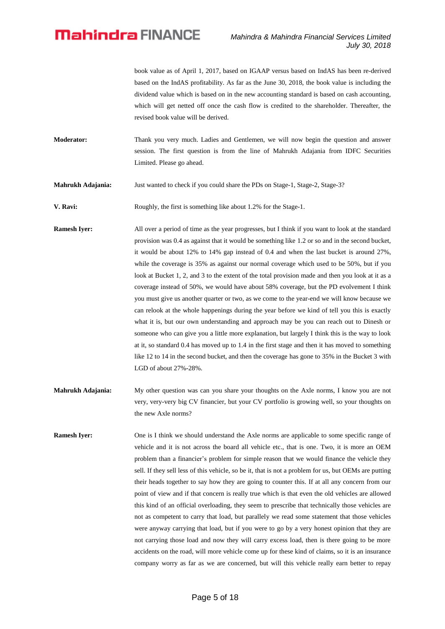book value as of April 1, 2017, based on IGAAP versus based on IndAS has been re-derived based on the IndAS profitability. As far as the June 30, 2018, the book value is including the dividend value which is based on in the new accounting standard is based on cash accounting, which will get netted off once the cash flow is credited to the shareholder. Thereafter, the revised book value will be derived.

**Moderator:** Thank you very much. Ladies and Gentlemen, we will now begin the question and answer session. The first question is from the line of Mahrukh Adajania from IDFC Securities Limited. Please go ahead.

**Mahrukh Adajania:** Just wanted to check if you could share the PDs on Stage-1, Stage-2, Stage-3?

**V. Ravi:** Roughly, the first is something like about 1.2% for the Stage-1.

**Ramesh Iyer:** All over a period of time as the year progresses, but I think if you want to look at the standard provision was 0.4 as against that it would be something like 1.2 or so and in the second bucket, it would be about 12% to 14% gap instead of 0.4 and when the last bucket is around 27%, while the coverage is 35% as against our normal coverage which used to be 50%, but if you look at Bucket 1, 2, and 3 to the extent of the total provision made and then you look at it as a coverage instead of 50%, we would have about 58% coverage, but the PD evolvement I think you must give us another quarter or two, as we come to the year-end we will know because we can relook at the whole happenings during the year before we kind of tell you this is exactly what it is, but our own understanding and approach may be you can reach out to Dinesh or someone who can give you a little more explanation, but largely I think this is the way to look at it, so standard 0.4 has moved up to 1.4 in the first stage and then it has moved to something like 12 to 14 in the second bucket, and then the coverage has gone to 35% in the Bucket 3 with LGD of about 27%-28%.

- **Mahrukh Adajania:** My other question was can you share your thoughts on the Axle norms, I know you are not very, very-very big CV financier, but your CV portfolio is growing well, so your thoughts on the new Axle norms?
- **Ramesh Iyer:** One is I think we should understand the Axle norms are applicable to some specific range of vehicle and it is not across the board all vehicle etc., that is one. Two, it is more an OEM problem than a financier's problem for simple reason that we would finance the vehicle they sell. If they sell less of this vehicle, so be it, that is not a problem for us, but OEMs are putting their heads together to say how they are going to counter this. If at all any concern from our point of view and if that concern is really true which is that even the old vehicles are allowed this kind of an official overloading, they seem to prescribe that technically those vehicles are not as competent to carry that load, but parallely we read some statement that those vehicles were anyway carrying that load, but if you were to go by a very honest opinion that they are not carrying those load and now they will carry excess load, then is there going to be more accidents on the road, will more vehicle come up for these kind of claims, so it is an insurance company worry as far as we are concerned, but will this vehicle really earn better to repay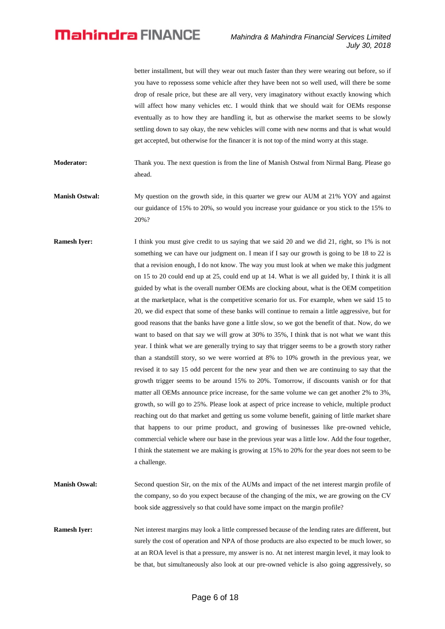better installment, but will they wear out much faster than they were wearing out before, so if you have to repossess some vehicle after they have been not so well used, will there be some drop of resale price, but these are all very, very imaginatory without exactly knowing which will affect how many vehicles etc. I would think that we should wait for OEMs response eventually as to how they are handling it, but as otherwise the market seems to be slowly settling down to say okay, the new vehicles will come with new norms and that is what would get accepted, but otherwise for the financer it is not top of the mind worry at this stage.

**Moderator:** Thank you. The next question is from the line of Manish Ostwal from Nirmal Bang. Please go ahead.

**Manish Ostwal:** My question on the growth side, in this quarter we grew our AUM at 21% YOY and against our guidance of 15% to 20%, so would you increase your guidance or you stick to the 15% to 20%?

**Ramesh Iyer:** I think you must give credit to us saying that we said 20 and we did 21, right, so 1% is not something we can have our judgment on. I mean if I say our growth is going to be 18 to 22 is that a revision enough, I do not know. The way you must look at when we make this judgment on 15 to 20 could end up at 25, could end up at 14. What is we all guided by, I think it is all guided by what is the overall number OEMs are clocking about, what is the OEM competition at the marketplace, what is the competitive scenario for us. For example, when we said 15 to 20, we did expect that some of these banks will continue to remain a little aggressive, but for good reasons that the banks have gone a little slow, so we got the benefit of that. Now, do we want to based on that say we will grow at 30% to 35%, I think that is not what we want this year. I think what we are generally trying to say that trigger seems to be a growth story rather than a standstill story, so we were worried at 8% to 10% growth in the previous year, we revised it to say 15 odd percent for the new year and then we are continuing to say that the growth trigger seems to be around 15% to 20%. Tomorrow, if discounts vanish or for that matter all OEMs announce price increase, for the same volume we can get another 2% to 3%, growth, so will go to 25%. Please look at aspect of price increase to vehicle, multiple product reaching out do that market and getting us some volume benefit, gaining of little market share that happens to our prime product, and growing of businesses like pre-owned vehicle, commercial vehicle where our base in the previous year was a little low. Add the four together, I think the statement we are making is growing at 15% to 20% for the year does not seem to be a challenge.

**Manish Oswal:** Second question Sir, on the mix of the AUMs and impact of the net interest margin profile of the company, so do you expect because of the changing of the mix, we are growing on the CV book side aggressively so that could have some impact on the margin profile?

**Ramesh Iyer:** Net interest margins may look a little compressed because of the lending rates are different, but surely the cost of operation and NPA of those products are also expected to be much lower, so at an ROA level is that a pressure, my answer is no. At net interest margin level, it may look to be that, but simultaneously also look at our pre-owned vehicle is also going aggressively, so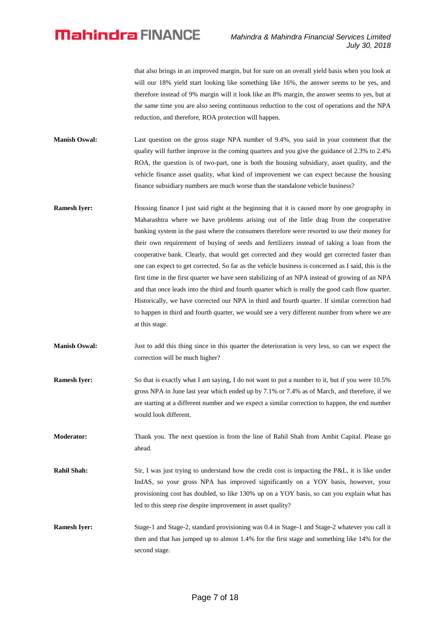that also brings in an improved margin, but for sure on an overall yield basis when you look at will our 18% yield start looking like something like 16%, the answer seems to be yes, and therefore instead of 9% margin will it look like an 8% margin, the answer seems to yes, but at the same time you are also seeing continuous reduction to the cost of operations and the NPA reduction, and therefore, ROA protection will happen.

**Manish Oswal:** Last question on the gross stage NPA number of 9.4%, you said in your comment that the quality will further improve in the coming quarters and you give the guidance of 2.3% to 2.4% ROA, the question is of two-part, one is both the housing subsidiary, asset quality, and the vehicle finance asset quality, what kind of improvement we can expect because the housing finance subsidiary numbers are much worse than the standalone vehicle business?

- **Ramesh Iyer:** Housing finance I just said right at the beginning that it is caused more by one geography in Maharashtra where we have problems arising out of the little drag from the cooperative banking system in the past where the consumers therefore were resorted to use their money for their own requirement of buying of seeds and fertilizers instead of taking a loan from the cooperative bank. Clearly, that would get corrected and they would get corrected faster than one can expect to get corrected. So far as the vehicle business is concerned as I said, this is the first time in the first quarter we have seen stabilizing of an NPA instead of growing of an NPA and that once leads into the third and fourth quarter which is really the good cash flow quarter. Historically, we have corrected our NPA in third and fourth quarter. If similar correction had to happen in third and fourth quarter, we would see a very different number from where we are at this stage.
- **Manish Oswal:** Just to add this thing since in this quarter the deterioration is very less, so can we expect the correction will be much higher?
- **Ramesh Iyer:** So that is exactly what I am saying, I do not want to put a number to it, but if you were 10.5% gross NPA in June last year which ended up by 7.1% or 7.4% as of March, and therefore, if we are starting at a different number and we expect a similar correction to happen, the end number would look different.

**Moderator:** Thank you. The next question is from the line of Rahil Shah from Ambit Capital. Please go ahead.

- **Rahil Shah:** Sir, I was just trying to understand how the credit cost is impacting the P&L, it is like under IndAS, so your gross NPA has improved significantly on a YOY basis, however, your provisioning cost has doubled, so like 130% up on a YOY basis, so can you explain what has led to this steep rise despite improvement in asset quality?
- **Ramesh Iyer:** Stage-1 and Stage-2, standard provisioning was 0.4 in Stage-1 and Stage-2 whatever you call it then and that has jumped up to almost 1.4% for the first stage and something like 14% for the second stage.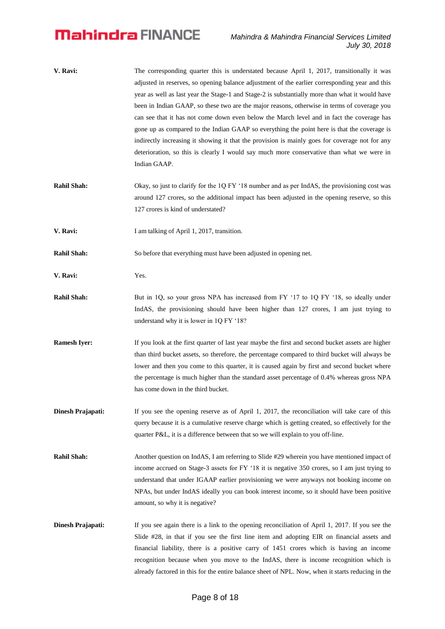| V. Ravi: | The corresponding quarter this is understated because April 1, 2017, transitionally it was      |
|----------|-------------------------------------------------------------------------------------------------|
|          | adjusted in reserves, so opening balance adjustment of the earlier corresponding year and this  |
|          | year as well as last year the Stage-1 and Stage-2 is substantially more than what it would have |
|          | been in Indian GAAP, so these two are the major reasons, otherwise in terms of coverage you     |
|          | can see that it has not come down even below the March level and in fact the coverage has       |
|          | gone up as compared to the Indian GAAP so everything the point here is that the coverage is     |
|          | indirectly increasing it showing it that the provision is mainly goes for coverage not for any  |
|          | deterioration, so this is clearly I would say much more conservative than what we were in       |
|          | Indian GAAP.                                                                                    |
|          |                                                                                                 |

- **Rahil Shah:** Okay, so just to clarify for the 1Q FY '18 number and as per IndAS, the provisioning cost was around 127 crores, so the additional impact has been adjusted in the opening reserve, so this 127 crores is kind of understated?
- **V. Ravi:** I am talking of April 1, 2017, transition.
- **Rahil Shah:** So before that everything must have been adjusted in opening net.
- **V. Ravi:** Yes.
- **Rahil Shah:** But in 1Q, so your gross NPA has increased from FY '17 to 1Q FY '18, so ideally under IndAS, the provisioning should have been higher than 127 crores, I am just trying to understand why it is lower in 1Q FY '18?
- **Ramesh Iyer:** If you look at the first quarter of last year maybe the first and second bucket assets are higher than third bucket assets, so therefore, the percentage compared to third bucket will always be lower and then you come to this quarter, it is caused again by first and second bucket where the percentage is much higher than the standard asset percentage of 0.4% whereas gross NPA has come down in the third bucket.
- **Dinesh Prajapati:** If you see the opening reserve as of April 1, 2017, the reconciliation will take care of this query because it is a cumulative reserve charge which is getting created, so effectively for the quarter P&L, it is a difference between that so we will explain to you off-line.
- **Rahil Shah:** Another question on IndAS, I am referring to Slide #29 wherein you have mentioned impact of income accrued on Stage-3 assets for FY '18 it is negative 350 crores, so I am just trying to understand that under IGAAP earlier provisioning we were anyways not booking income on NPAs, but under IndAS ideally you can book interest income, so it should have been positive amount, so why it is negative?
- **Dinesh Prajapati:** If you see again there is a link to the opening reconciliation of April 1, 2017. If you see the Slide #28, in that if you see the first line item and adopting EIR on financial assets and financial liability, there is a positive carry of 1451 crores which is having an income recognition because when you move to the IndAS, there is income recognition which is already factored in this for the entire balance sheet of NPL. Now, when it starts reducing in the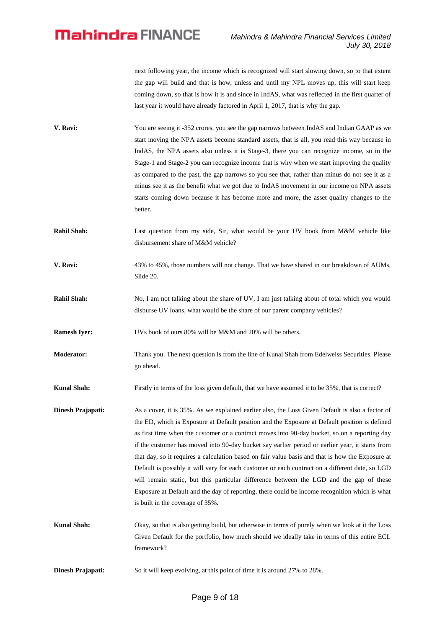next following year, the income which is recognized will start slowing down, so to that extent the gap will build and that is how, unless and until my NPL moves up, this will start keep coming down, so that is how it is and since in IndAS, what was reflected in the first quarter of last year it would have already factored in April 1, 2017, that is why the gap.

- **V. Ravi:** You are seeing it -352 crores, you see the gap narrows between IndAS and Indian GAAP as we start moving the NPA assets become standard assets, that is all, you read this way because in IndAS, the NPA assets also unless it is Stage-3, there you can recognize income, so in the Stage-1 and Stage-2 you can recognize income that is why when we start improving the quality as compared to the past, the gap narrows so you see that, rather than minus do not see it as a minus see it as the benefit what we got due to IndAS movement in our income on NPA assets starts coming down because it has become more and more, the asset quality changes to the better.
- **Rahil Shah:** Last question from my side, Sir, what would be your UV book from M&M vehicle like disbursement share of M&M vehicle?
- **V. Ravi:** 43% to 45%, those numbers will not change. That we have shared in our breakdown of AUMs, Slide 20.
- **Rahil Shah:** No, I am not talking about the share of UV, I am just talking about of total which you would disburse UV loans, what would be the share of our parent company vehicles?

**Ramesh Iver:** UVs book of ours 80% will be M&M and 20% will be others.

**Moderator:** Thank you. The next question is from the line of Kunal Shah from Edelweiss Securities. Please go ahead.

**Kunal Shah:** Firstly in terms of the loss given default, that we have assumed it to be 35%, that is correct?

- **Dinesh Prajapati:** As a cover, it is 35%. As we explained earlier also, the Loss Given Default is also a factor of the ED, which is Exposure at Default position and the Exposure at Default position is defined as first time when the customer or a contract moves into 90-day bucket, so on a reporting day if the customer has moved into 90-day bucket say earlier period or earlier year, it starts from that day, so it requires a calculation based on fair value basis and that is how the Exposure at Default is possibly it will vary for each customer or each contract on a different date, so LGD will remain static, but this particular difference between the LGD and the gap of these Exposure at Default and the day of reporting, there could be income recognition which is what is built in the coverage of 35%.
- **Kunal Shah:** Okay, so that is also getting build, but otherwise in terms of purely when we look at it the Loss Given Default for the portfolio, how much should we ideally take in terms of this entire ECL framework?

**Dinesh Prajapati:** So it will keep evolving, at this point of time it is around 27% to 28%.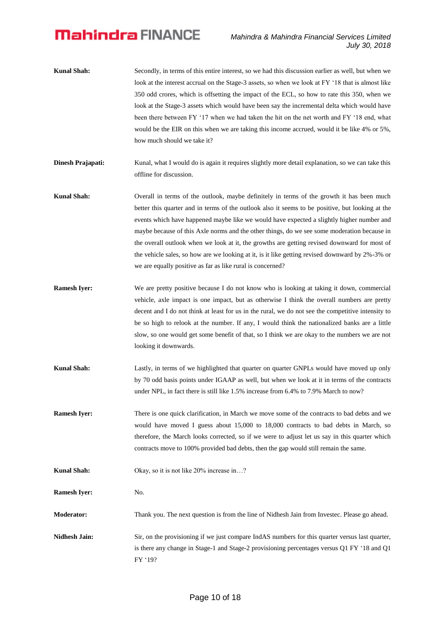- **Kunal Shah:** Secondly, in terms of this entire interest, so we had this discussion earlier as well, but when we look at the interest accrual on the Stage-3 assets, so when we look at FY '18 that is almost like 350 odd crores, which is offsetting the impact of the ECL, so how to rate this 350, when we look at the Stage-3 assets which would have been say the incremental delta which would have been there between FY '17 when we had taken the hit on the net worth and FY '18 end, what would be the EIR on this when we are taking this income accrued, would it be like 4% or 5%, how much should we take it?
- **Dinesh Prajapati:** Kunal, what I would do is again it requires slightly more detail explanation, so we can take this offline for discussion.
- **Kunal Shah:** Overall in terms of the outlook, maybe definitely in terms of the growth it has been much better this quarter and in terms of the outlook also it seems to be positive, but looking at the events which have happened maybe like we would have expected a slightly higher number and maybe because of this Axle norms and the other things, do we see some moderation because in the overall outlook when we look at it, the growths are getting revised downward for most of the vehicle sales, so how are we looking at it, is it like getting revised downward by 2%-3% or we are equally positive as far as like rural is concerned?
- **Ramesh Iyer:** We are pretty positive because I do not know who is looking at taking it down, commercial vehicle, axle impact is one impact, but as otherwise I think the overall numbers are pretty decent and I do not think at least for us in the rural, we do not see the competitive intensity to be so high to relook at the number. If any, I would think the nationalized banks are a little slow, so one would get some benefit of that, so I think we are okay to the numbers we are not looking it downwards.
- **Kunal Shah:** Lastly, in terms of we highlighted that quarter on quarter GNPLs would have moved up only by 70 odd basis points under IGAAP as well, but when we look at it in terms of the contracts under NPL, in fact there is still like 1.5% increase from 6.4% to 7.9% March to now?
- **Ramesh Iyer:** There is one quick clarification, in March we move some of the contracts to bad debts and we would have moved I guess about 15,000 to 18,000 contracts to bad debts in March, so therefore, the March looks corrected, so if we were to adjust let us say in this quarter which contracts move to 100% provided bad debts, then the gap would still remain the same.
- **Kunal Shah:** Okay, so it is not like 20% increase in...?
- **Ramesh Iyer:** No.
- **Moderator:** Thank you. The next question is from the line of Nidhesh Jain from Investec. Please go ahead.
- **Nidhesh Jain:** Sir, on the provisioning if we just compare IndAS numbers for this quarter versus last quarter, is there any change in Stage-1 and Stage-2 provisioning percentages versus Q1 FY '18 and Q1 FY '19?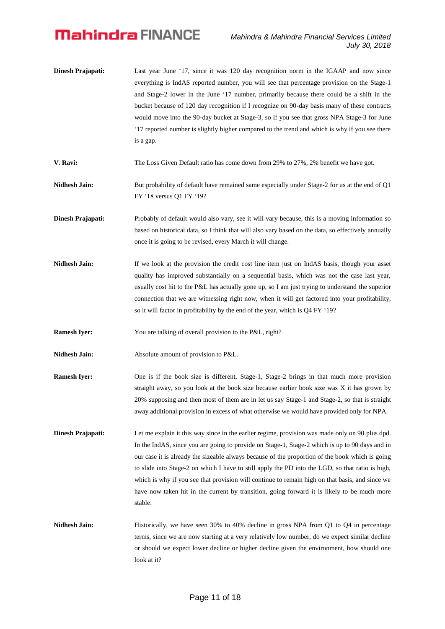**Dinesh Prajapati:** Last year June '17, since it was 120 day recognition norm in the IGAAP and now since everything is IndAS reported number, you will see that percentage provision on the Stage-1 and Stage-2 lower in the June '17 number, primarily because there could be a shift in the bucket because of 120 day recognition if I recognize on 90-day basis many of these contracts would move into the 90-day bucket at Stage-3, so if you see that gross NPA Stage-3 for June '17 reported number is slightly higher compared to the trend and which is why if you see there is a gap.

**V. Ravi:** The Loss Given Default ratio has come down from 29% to 27%, 2% benefit we have got.

- **Nidhesh Jain:** But probability of default have remained same especially under Stage-2 for us at the end of Q1 FY '18 versus Q1 FY '19?
- **Dinesh Prajapati:** Probably of default would also vary, see it will vary because, this is a moving information so based on historical data, so I think that will also vary based on the data, so effectively annually once it is going to be revised, every March it will change.
- **Nidhesh Jain:** If we look at the provision the credit cost line item just on IndAS basis, though your asset quality has improved substantially on a sequential basis, which was not the case last year, usually cost hit to the P&L has actually gone up, so I am just trying to understand the superior connection that we are witnessing right now, when it will get factored into your profitability, so it will factor in profitability by the end of the year, which is Q4 FY '19?
- **Ramesh Iyer:** You are talking of overall provision to the P&L, right?
- **Nidhesh Jain:** Absolute amount of provision to P&L.
- **Ramesh Iyer:** One is if the book size is different, Stage-1, Stage-2 brings in that much more provision straight away, so you look at the book size because earlier book size was X it has grown by 20% supposing and then most of them are in let us say Stage-1 and Stage-2, so that is straight away additional provision in excess of what otherwise we would have provided only for NPA.
- **Dinesh Prajapati:** Let me explain it this way since in the earlier regime, provision was made only on 90 plus dpd. In the IndAS, since you are going to provide on Stage-1, Stage-2 which is up to 90 days and in our case it is already the sizeable always because of the proportion of the book which is going to slide into Stage-2 on which I have to still apply the PD into the LGD, so that ratio is high, which is why if you see that provision will continue to remain high on that basis, and since we have now taken hit in the current by transition, going forward it is likely to be much more stable.
- **Nidhesh Jain:** Historically, we have seen 30% to 40% decline in gross NPA from Q1 to Q4 in percentage terms, since we are now starting at a very relatively low number, do we expect similar decline or should we expect lower decline or higher decline given the environment, how should one look at it?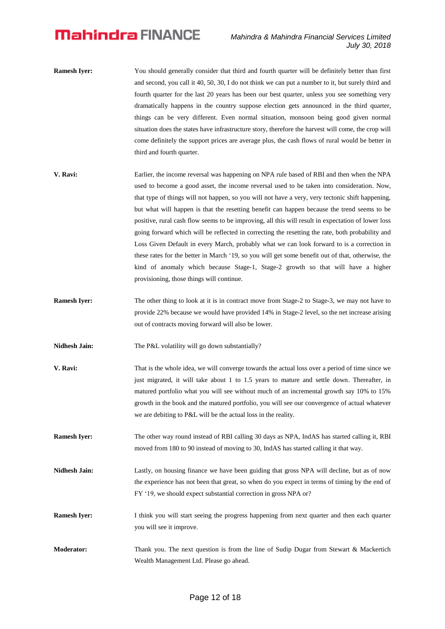- **Ramesh Iver:** You should generally consider that third and fourth quarter will be definitely better than first and second, you call it 40, 50, 30, I do not think we can put a number to it, but surely third and fourth quarter for the last 20 years has been our best quarter, unless you see something very dramatically happens in the country suppose election gets announced in the third quarter, things can be very different. Even normal situation, monsoon being good given normal situation does the states have infrastructure story, therefore the harvest will come, the crop will come definitely the support prices are average plus, the cash flows of rural would be better in third and fourth quarter.
- **V. Ravi:** Earlier, the income reversal was happening on NPA rule based of RBI and then when the NPA used to become a good asset, the income reversal used to be taken into consideration. Now, that type of things will not happen, so you will not have a very, very tectonic shift happening, but what will happen is that the resetting benefit can happen because the trend seems to be positive, rural cash flow seems to be improving, all this will result in expectation of lower loss going forward which will be reflected in correcting the resetting the rate, both probability and Loss Given Default in every March, probably what we can look forward to is a correction in these rates for the better in March '19, so you will get some benefit out of that, otherwise, the kind of anomaly which because Stage-1, Stage-2 growth so that will have a higher provisioning, those things will continue.
- **Ramesh Iyer:** The other thing to look at it is in contract move from Stage-2 to Stage-3, we may not have to provide 22% because we would have provided 14% in Stage-2 level, so the net increase arising out of contracts moving forward will also be lower.
- Nidhesh Jain: The P&L volatility will go down substantially?
- **V. Ravi:** That is the whole idea, we will converge towards the actual loss over a period of time since we just migrated, it will take about 1 to 1.5 years to mature and settle down. Thereafter, in matured portfolio what you will see without much of an incremental growth say 10% to 15% growth in the book and the matured portfolio, you will see our convergence of actual whatever we are debiting to P&L will be the actual loss in the reality.
- **Ramesh Iyer:** The other way round instead of RBI calling 30 days as NPA, IndAS has started calling it, RBI moved from 180 to 90 instead of moving to 30, IndAS has started calling it that way.
- **Nidhesh Jain:** Lastly, on housing finance we have been guiding that gross NPA will decline, but as of now the experience has not been that great, so when do you expect in terms of timing by the end of FY '19, we should expect substantial correction in gross NPA or?
- **Ramesh Iyer:** I think you will start seeing the progress happening from next quarter and then each quarter you will see it improve.
- **Moderator:** Thank you. The next question is from the line of Sudip Dugar from Stewart & Mackertich Wealth Management Ltd. Please go ahead.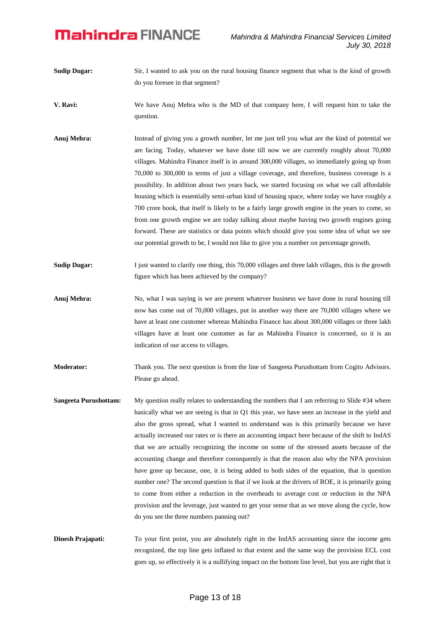- **Sudip Dugar:** Sir, I wanted to ask you on the rural housing finance segment that what is the kind of growth do you foresee in that segment?
- **V. Ravi:** We have Anuj Mehra who is the MD of that company here, I will request him to take the question.
- Anuj Mehra: Instead of giving you a growth number, let me just tell you what are the kind of potential we are facing. Today, whatever we have done till now we are currently roughly about 70,000 villages. Mahindra Finance itself is in around 300,000 villages, so immediately going up from 70,000 to 300,000 in terms of just a village coverage, and therefore, business coverage is a possibility. In addition about two years back, we started focusing on what we call affordable housing which is essentially semi-urban kind of housing space, where today we have roughly a 700 crore book, that itself is likely to be a fairly large growth engine in the years to come, so from one growth engine we are today talking about maybe having two growth engines going forward. These are statistics or data points which should give you some idea of what we see our potential growth to be, I would not like to give you a number on percentage growth.
- **Sudip Dugar:** I just wanted to clarify one thing, this 70,000 villages and three lakh villages, this is the growth figure which has been achieved by the company?
- **Anuj Mehra:** No, what I was saying is we are present whatever business we have done in rural housing till now has come out of 70,000 villages, put in another way there are 70,000 villages where we have at least one customer whereas Mahindra Finance has about 300,000 villages or three lakh villages have at least one customer as far as Mahindra Finance is concerned, so it is an indication of our access to villages.
- **Moderator:** Thank you. The next question is from the line of Sangeeta Purushottam from Cogito Advisors. Please go ahead.
- **Sangeeta Purushottam:** My question really relates to understanding the numbers that I am referring to Slide #34 where basically what we are seeing is that in Q1 this year, we have seen an increase in the yield and also the gross spread, what I wanted to understand was is this primarily because we have actually increased our rates or is there an accounting impact here because of the shift to IndAS that we are actually recognizing the income on some of the stressed assets because of the accounting change and therefore consequently is that the reason also why the NPA provision have gone up because, one, it is being added to both sides of the equation, that is question number one? The second question is that if we look at the drivers of ROE, it is primarily going to come from either a reduction in the overheads to average cost or reduction in the NPA provision and the leverage, just wanted to get your sense that as we move along the cycle, how do you see the three numbers panning out?

**Dinesh Prajapati:** To your first point, you are absolutely right in the IndAS accounting since the income gets recognized, the top line gets inflated to that extent and the same way the provision ECL cost goes up, so effectively it is a nullifying impact on the bottom line level, but you are right that it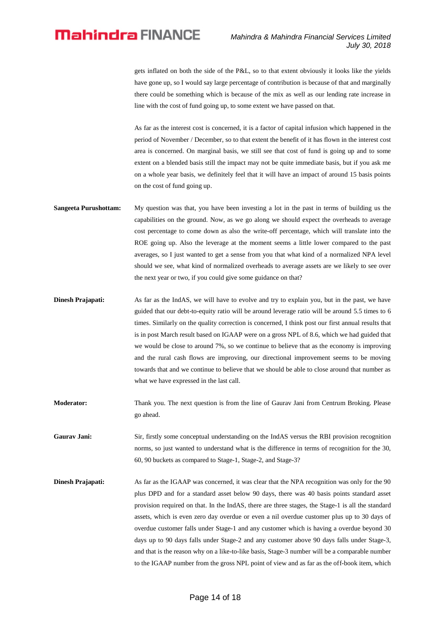gets inflated on both the side of the P&L, so to that extent obviously it looks like the yields have gone up, so I would say large percentage of contribution is because of that and marginally there could be something which is because of the mix as well as our lending rate increase in line with the cost of fund going up, to some extent we have passed on that.

As far as the interest cost is concerned, it is a factor of capital infusion which happened in the period of November / December, so to that extent the benefit of it has flown in the interest cost area is concerned. On marginal basis, we still see that cost of fund is going up and to some extent on a blended basis still the impact may not be quite immediate basis, but if you ask me on a whole year basis, we definitely feel that it will have an impact of around 15 basis points on the cost of fund going up.

- **Sangeeta Purushottam:** My question was that, you have been investing a lot in the past in terms of building us the capabilities on the ground. Now, as we go along we should expect the overheads to average cost percentage to come down as also the write-off percentage, which will translate into the ROE going up. Also the leverage at the moment seems a little lower compared to the past averages, so I just wanted to get a sense from you that what kind of a normalized NPA level should we see, what kind of normalized overheads to average assets are we likely to see over the next year or two, if you could give some guidance on that?
- **Dinesh Prajapati:** As far as the IndAS, we will have to evolve and try to explain you, but in the past, we have guided that our debt-to-equity ratio will be around leverage ratio will be around 5.5 times to 6 times. Similarly on the quality correction is concerned, I think post our first annual results that is in post March result based on IGAAP were on a gross NPL of 8.6, which we had guided that we would be close to around 7%, so we continue to believe that as the economy is improving and the rural cash flows are improving, our directional improvement seems to be moving towards that and we continue to believe that we should be able to close around that number as what we have expressed in the last call.
- **Moderator:** Thank you. The next question is from the line of Gaurav Jani from Centrum Broking. Please go ahead.
- Gaurav Jani: Sir, firstly some conceptual understanding on the IndAS versus the RBI provision recognition norms, so just wanted to understand what is the difference in terms of recognition for the 30, 60, 90 buckets as compared to Stage-1, Stage-2, and Stage-3?
- **Dinesh Prajapati:** As far as the IGAAP was concerned, it was clear that the NPA recognition was only for the 90 plus DPD and for a standard asset below 90 days, there was 40 basis points standard asset provision required on that. In the IndAS, there are three stages, the Stage-1 is all the standard assets, which is even zero day overdue or even a nil overdue customer plus up to 30 days of overdue customer falls under Stage-1 and any customer which is having a overdue beyond 30 days up to 90 days falls under Stage-2 and any customer above 90 days falls under Stage-3, and that is the reason why on a like-to-like basis, Stage-3 number will be a comparable number to the IGAAP number from the gross NPL point of view and as far as the off-book item, which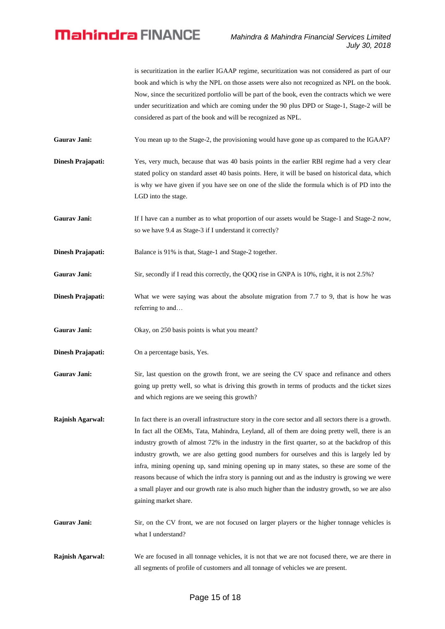is securitization in the earlier IGAAP regime, securitization was not considered as part of our book and which is why the NPL on those assets were also not recognized as NPL on the book. Now, since the securitized portfolio will be part of the book, even the contracts which we were under securitization and which are coming under the 90 plus DPD or Stage-1, Stage-2 will be considered as part of the book and will be recognized as NPL.

Gaurav Jani: You mean up to the Stage-2, the provisioning would have gone up as compared to the IGAAP?

**Dinesh Prajapati:** Yes, very much, because that was 40 basis points in the earlier RBI regime had a very clear stated policy on standard asset 40 basis points. Here, it will be based on historical data, which is why we have given if you have see on one of the slide the formula which is of PD into the LGD into the stage.

Gaurav Jani: If I have can a number as to what proportion of our assets would be Stage-1 and Stage-2 now, so we have 9.4 as Stage-3 if I understand it correctly?

**Dinesh Prajapati:** Balance is 91% is that, Stage-1 and Stage-2 together.

- **Gaurav Jani:** Sir, secondly if I read this correctly, the QOQ rise in GNPA is 10%, right, it is not 2.5%?
- **Dinesh Prajapati:** What we were saying was about the absolute migration from 7.7 to 9, that is how he was referring to and…
- Gaurav Jani: Okay, on 250 basis points is what you meant?
- **Dinesh Prajapati:** On a percentage basis, Yes.
- Gaurav Jani: Sir, last question on the growth front, we are seeing the CV space and refinance and others going up pretty well, so what is driving this growth in terms of products and the ticket sizes and which regions are we seeing this growth?
- **Rajnish Agarwal:** In fact there is an overall infrastructure story in the core sector and all sectors there is a growth. In fact all the OEMs, Tata, Mahindra, Leyland, all of them are doing pretty well, there is an industry growth of almost 72% in the industry in the first quarter, so at the backdrop of this industry growth, we are also getting good numbers for ourselves and this is largely led by infra, mining opening up, sand mining opening up in many states, so these are some of the reasons because of which the infra story is panning out and as the industry is growing we were a small player and our growth rate is also much higher than the industry growth, so we are also gaining market share.
- Gaurav Jani: Sir, on the CV front, we are not focused on larger players or the higher tonnage vehicles is what I understand?
- **Rajnish Agarwal:** We are focused in all tonnage vehicles, it is not that we are not focused there, we are there in all segments of profile of customers and all tonnage of vehicles we are present.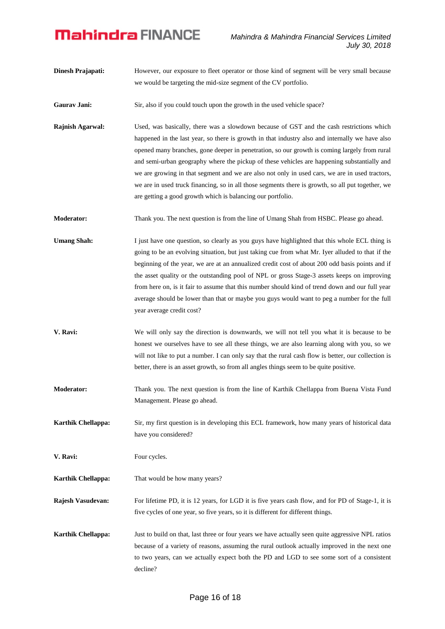- **Dinesh Prajapati:** However, our exposure to fleet operator or those kind of segment will be very small because we would be targeting the mid-size segment of the CV portfolio.
- **Gaurav Jani:** Sir, also if you could touch upon the growth in the used vehicle space?
- **Rajnish Agarwal:** Used, was basically, there was a slowdown because of GST and the cash restrictions which happened in the last year, so there is growth in that industry also and internally we have also opened many branches, gone deeper in penetration, so our growth is coming largely from rural and semi-urban geography where the pickup of these vehicles are happening substantially and we are growing in that segment and we are also not only in used cars, we are in used tractors, we are in used truck financing, so in all those segments there is growth, so all put together, we are getting a good growth which is balancing our portfolio.
- **Moderator:** Thank you. The next question is from the line of Umang Shah from HSBC. Please go ahead.
- **Umang Shah:** I just have one question, so clearly as you guys have highlighted that this whole ECL thing is going to be an evolving situation, but just taking cue from what Mr. Iyer alluded to that if the beginning of the year, we are at an annualized credit cost of about 200 odd basis points and if the asset quality or the outstanding pool of NPL or gross Stage-3 assets keeps on improving from here on, is it fair to assume that this number should kind of trend down and our full year average should be lower than that or maybe you guys would want to peg a number for the full year average credit cost?
- **V. Ravi:** We will only say the direction is downwards, we will not tell you what it is because to be honest we ourselves have to see all these things, we are also learning along with you, so we will not like to put a number. I can only say that the rural cash flow is better, our collection is better, there is an asset growth, so from all angles things seem to be quite positive.
- **Moderator:** Thank you. The next question is from the line of Karthik Chellappa from Buena Vista Fund Management. Please go ahead.

**Karthik Chellappa:** Sir, my first question is in developing this ECL framework, how many years of historical data have you considered?

**V. Ravi:** Four cycles.

**Karthik Chellappa:** That would be how many years?

**Rajesh Vasudevan:** For lifetime PD, it is 12 years, for LGD it is five years cash flow, and for PD of Stage-1, it is five cycles of one year, so five years, so it is different for different things.

**Karthik Chellappa:** Just to build on that, last three or four years we have actually seen quite aggressive NPL ratios because of a variety of reasons, assuming the rural outlook actually improved in the next one to two years, can we actually expect both the PD and LGD to see some sort of a consistent decline?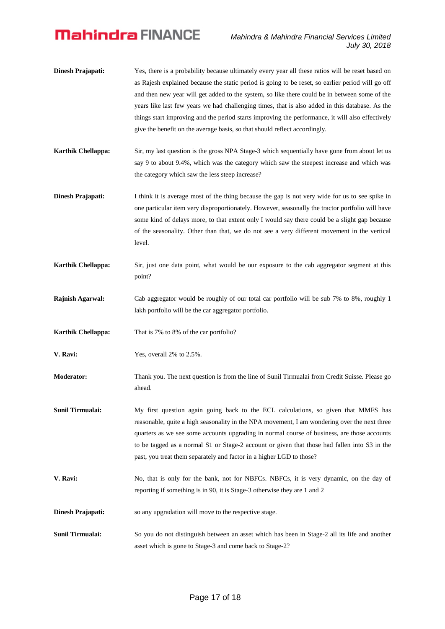- **Dinesh Prajapati:** Yes, there is a probability because ultimately every year all these ratios will be reset based on as Rajesh explained because the static period is going to be reset, so earlier period will go off and then new year will get added to the system, so like there could be in between some of the years like last few years we had challenging times, that is also added in this database. As the things start improving and the period starts improving the performance, it will also effectively give the benefit on the average basis, so that should reflect accordingly.
- **Karthik Chellappa:** Sir, my last question is the gross NPA Stage-3 which sequentially have gone from about let us say 9 to about 9.4%, which was the category which saw the steepest increase and which was the category which saw the less steep increase?
- **Dinesh Prajapati:** I think it is average most of the thing because the gap is not very wide for us to see spike in one particular item very disproportionately. However, seasonally the tractor portfolio will have some kind of delays more, to that extent only I would say there could be a slight gap because of the seasonality. Other than that, we do not see a very different movement in the vertical level.
- **Karthik Chellappa:** Sir, just one data point, what would be our exposure to the cab aggregator segment at this point?
- **Rajnish Agarwal:** Cab aggregator would be roughly of our total car portfolio will be sub 7% to 8%, roughly 1 lakh portfolio will be the car aggregator portfolio.
- **Karthik Chellappa:** That is 7% to 8% of the car portfolio?
- **V. Ravi:** Yes, overall 2% to 2.5%.
- **Moderator:** Thank you. The next question is from the line of Sunil Tirmualai from Credit Suisse. Please go ahead.
- **Sunil Tirmualai:** My first question again going back to the ECL calculations, so given that MMFS has reasonable, quite a high seasonality in the NPA movement, I am wondering over the next three quarters as we see some accounts upgrading in normal course of business, are those accounts to be tagged as a normal S1 or Stage-2 account or given that those had fallen into S3 in the past, you treat them separately and factor in a higher LGD to those?
- **V. Ravi:** No, that is only for the bank, not for NBFCs. NBFCs, it is very dynamic, on the day of reporting if something is in 90, it is Stage-3 otherwise they are 1 and 2
- **Dinesh Prajapati:** so any upgradation will move to the respective stage.
- **Sunil Tirmualai:** So you do not distinguish between an asset which has been in Stage-2 all its life and another asset which is gone to Stage-3 and come back to Stage-2?